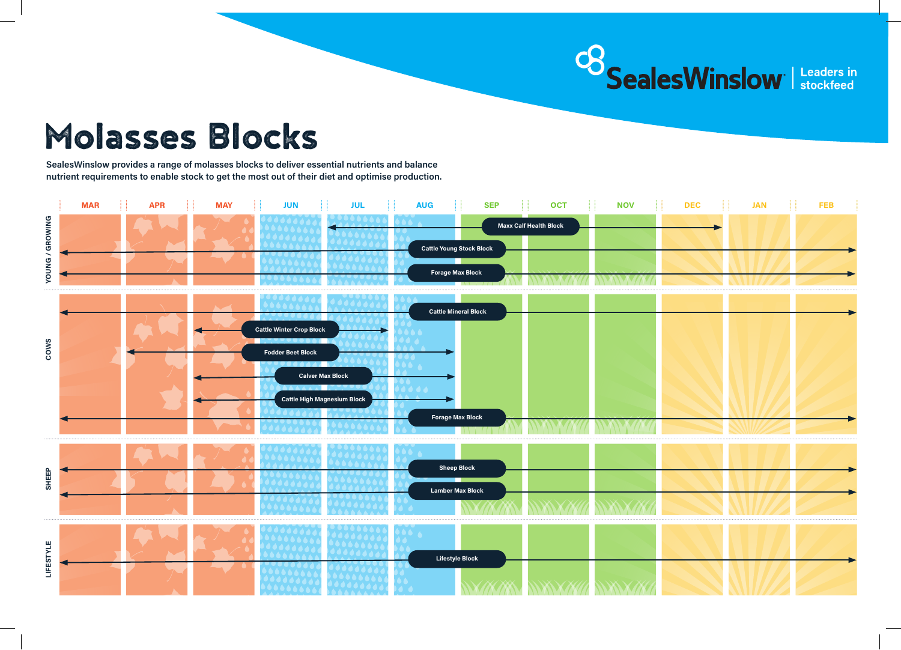

## Molasses Blocks

**SealesWinslow provides a range of molasses blocks to deliver essential nutrients and balance nutrient requirements to enable stock to get the most out of their diet and optimise production.**